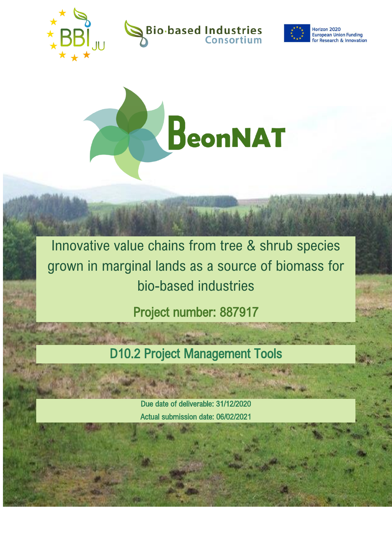







Innovative value chains from tree & shrub species grown in marginal lands as a source of biomass for bio-based industries

Project number: 887917

D10.2 Project Management Tools

Due date of deliverable: 31/12/2020 Actual submission date: 06/02/2021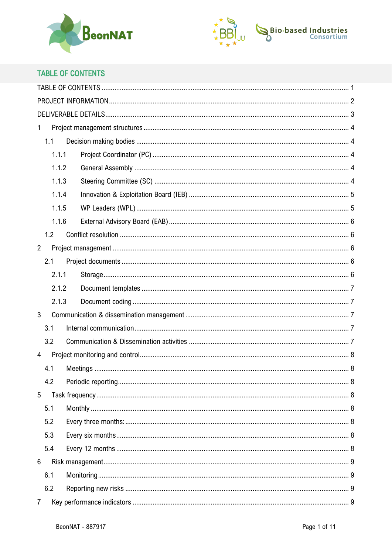



# <span id="page-1-0"></span>**TABLE OF CONTENTS**

| $\mathbf{1}$   |  |  |  |
|----------------|--|--|--|
| 1.1            |  |  |  |
| 1.1.1          |  |  |  |
| 1.1.2          |  |  |  |
| 1.1.3          |  |  |  |
| 1.1.4          |  |  |  |
| 1.1.5          |  |  |  |
| 1.1.6          |  |  |  |
| 1.2            |  |  |  |
| $\overline{2}$ |  |  |  |
| 2.1            |  |  |  |
| 2.1.1          |  |  |  |
| 2.1.2          |  |  |  |
| 2.1.3          |  |  |  |
| $\mathbf{3}$   |  |  |  |
| 3.1            |  |  |  |
| 3.2            |  |  |  |
| $\overline{4}$ |  |  |  |
| 4.1            |  |  |  |
| 4.2            |  |  |  |
| 5              |  |  |  |
| 5.1            |  |  |  |
| 5.2            |  |  |  |
| 5.3            |  |  |  |
| 5.4            |  |  |  |
| $6\phantom{1}$ |  |  |  |
| 6.1            |  |  |  |
| 6.2            |  |  |  |
| $\overline{7}$ |  |  |  |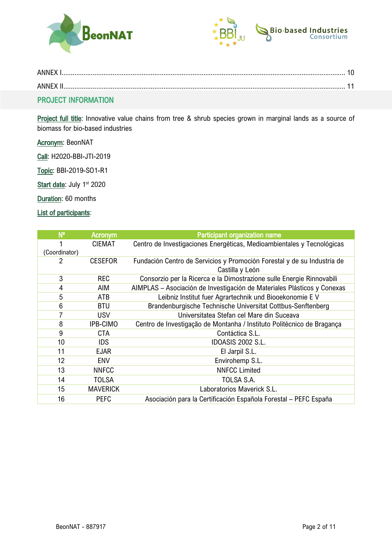



| ANNEX |  |
|-------|--|
| ANNFX |  |
|       |  |

# <span id="page-2-0"></span>PROJECT INFORMATION

Project full title: Innovative value chains from tree & shrub species grown in marginal lands as a source of biomass for bio-based industries

Acronym: BeonNAT

Call: H2020-BBI-JTI-2019

Topic: BBI-2019-SO1-R1

Start date: July 1<sup>st</sup> 2020

Duration: 60 months

# List of participants:

| $N^{\circ}$   | <b>Acronym</b>  | Participant organization name                                           |
|---------------|-----------------|-------------------------------------------------------------------------|
|               | <b>CIEMAT</b>   | Centro de Investigaciones Energéticas, Medioambientales y Tecnológicas  |
| (Coordinator) |                 |                                                                         |
| 2             | <b>CESEFOR</b>  | Fundación Centro de Servicios y Promoción Forestal y de su Industria de |
|               |                 | Castilla y León                                                         |
| 3             | <b>REC</b>      | Consorzio per la Ricerca e la Dimostrazione sulle Energie Rinnovabili   |
| 4             | AIM             | AIMPLAS – Asociación de Investigación de Materiales Plásticos y Conexas |
| 5             | <b>ATB</b>      | Leibniz Institut fuer Agrartechnik und Biooekonomie EV                  |
| 6             | <b>BTU</b>      | Brandenburgische Technische Universitat Cottbus-Senftenberg             |
| 7             | <b>USV</b>      | Universitatea Stefan cel Mare din Suceava                               |
| 8             | IPB-CIMO        | Centro de Investigação de Montanha / Instituto Politécnico de Bragança  |
| 9             | <b>CTA</b>      | Contáctica S.L.                                                         |
| 10            | <b>IDS</b>      | <b>IDOASIS 2002 S.L.</b>                                                |
| 11            | <b>EJAR</b>     | El Jarpil S.L.                                                          |
| 12            | <b>ENV</b>      | Envirohemp S.L.                                                         |
| 13            | <b>NNFCC</b>    | <b>NNFCC Limited</b>                                                    |
| 14            | <b>TOLSA</b>    | TOLSA S.A.                                                              |
| 15            | <b>MAVERICK</b> | Laboratorios Maverick S.L.                                              |
| 16            | <b>PEFC</b>     | Asociación para la Certificación Española Forestal – PEFC España        |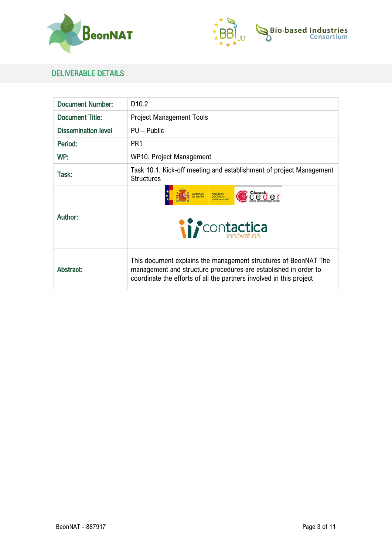



# <span id="page-3-0"></span>DELIVERABLE DETAILS

| <b>Document Number:</b>    | D <sub>10.2</sub>                                                                                                                                                                                         |
|----------------------------|-----------------------------------------------------------------------------------------------------------------------------------------------------------------------------------------------------------|
| <b>Document Title:</b>     | <b>Project Management Tools</b>                                                                                                                                                                           |
| <b>Dissemination level</b> | PU - Public                                                                                                                                                                                               |
| Period:                    | PR <sub>1</sub>                                                                                                                                                                                           |
| WP:                        | WP10. Project Management                                                                                                                                                                                  |
| Task:                      | Task 10.1. Kick-off meeting and establishment of project Management<br><b>Structures</b>                                                                                                                  |
| Author:                    | <i>if</i> contactica                                                                                                                                                                                      |
| Abstract:                  | This document explains the management structures of BeonNAT The<br>management and structure procedures are established in order to<br>coordinate the efforts of all the partners involved in this project |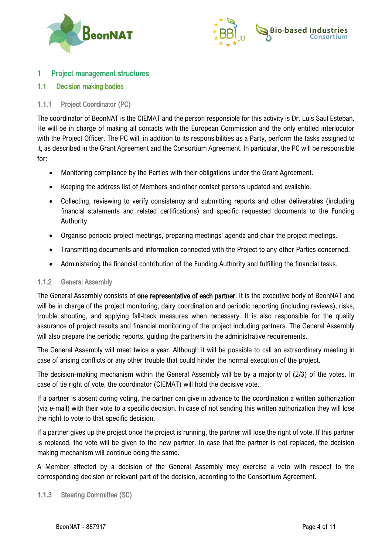



# <span id="page-4-0"></span>1 Project management structures

# <span id="page-4-1"></span>1.1 Decision making bodies

# <span id="page-4-2"></span>1.1.1 Project Coordinator (PC)

The coordinator of BeonNAT is the CIEMAT and the person responsible for this activity is Dr. Luis Saul Esteban. He will be in charge of making all contacts with the European Commission and the only entitled interlocutor with the Project Officer. The PC will, in addition to its responsibilities as a Party, perform the tasks assigned to it, as described in the Grant Agreement and the Consortium Agreement. In particular, the PC will be responsible for:

- Monitoring compliance by the Parties with their obligations under the Grant Agreement.
- Keeping the address list of Members and other contact persons updated and available.
- Collecting, reviewing to verify consistency and submitting reports and other deliverables (including financial statements and related certifications) and specific requested documents to the Funding Authority.
- Organise periodic project meetings, preparing meetings' agenda and chair the project meetings.
- Transmitting documents and information connected with the Project to any other Parties concerned.
- Administering the financial contribution of the Funding Authority and fulfilling the financial tasks.

#### <span id="page-4-3"></span>1.1.2 General Assembly

The General Assembly consists of one representative of each partner. It is the executive body of BeonNAT and will be in charge of the project monitoring, dairy coordination and periodic reporting (including reviews), risks, trouble shouting, and applying fall-back measures when necessary. It is also responsible for the quality assurance of project results and financial monitoring of the project including partners. The General Assembly will also prepare the periodic reports, guiding the partners in the administrative requirements.

The General Assembly will meet twice a year. Although it will be possible to call an extraordinary meeting in case of arising conflicts or any other trouble that could hinder the normal execution of the project.

The decision-making mechanism within the General Assembly will be by a majority of (2/3) of the votes. In case of tie right of vote, the coordinator (CIEMAT) will hold the decisive vote.

If a partner is absent during voting, the partner can give in advance to the coordination a written authorization (via e-mail) with their vote to a specific decision. In case of not sending this written authorization they will lose the right to vote to that specific decision.

If a partner gives up the project once the project is running, the partner will lose the right of vote. If this partner is replaced, the vote will be given to the new partner. In case that the partner is not replaced, the decision making mechanism will continue being the same.

A Member affected by a decision of the General Assembly may exercise a veto with respect to the corresponding decision or relevant part of the decision, according to the Consortium Agreement.

<span id="page-4-4"></span>1.1.3 Steering Committee (SC)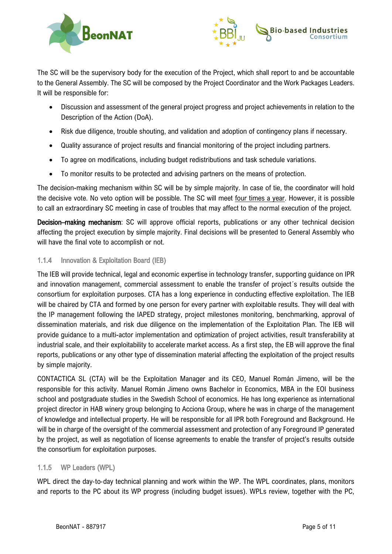



The SC will be the supervisory body for the execution of the Project, which shall report to and be accountable to the General Assembly. The SC will be composed by the Project Coordinator and the Work Packages Leaders. It will be responsible for:

- Discussion and assessment of the general project progress and project achievements in relation to the Description of the Action (DoA).
- Risk due diligence, trouble shouting, and validation and adoption of contingency plans if necessary.
- Quality assurance of project results and financial monitoring of the project including partners.
- To agree on modifications, including budget redistributions and task schedule variations.
- To monitor results to be protected and advising partners on the means of protection.

The decision-making mechanism within SC will be by simple majority. In case of tie, the coordinator will hold the decisive vote. No veto option will be possible. The SC will meet four times a year. However, it is possible to call an extraordinary SC meeting in case of troubles that may affect to the normal execution of the project.

Decision–making mechanism: SC will approve official reports, publications or any other technical decision affecting the project execution by simple majority. Final decisions will be presented to General Assembly who will have the final vote to accomplish or not.

# <span id="page-5-0"></span>1.1.4 Innovation & Exploitation Board (IEB)

The IEB will provide technical, legal and economic expertise in technology transfer, supporting guidance on IPR and innovation management, commercial assessment to enable the transfer of project´s results outside the consortium for exploitation purposes. CTA has a long experience in conducting effective exploitation. The IEB will be chaired by CTA and formed by one person for every partner with exploitable results. They will deal with the IP management following the IAPED strategy, project milestones monitoring, benchmarking, approval of dissemination materials, and risk due diligence on the implementation of the Exploitation Plan. The IEB will provide guidance to a multi-actor implementation and optimization of project activities, result transferability at industrial scale, and their exploitability to accelerate market access. As a first step, the EB will approve the final reports, publications or any other type of dissemination material affecting the exploitation of the project results by simple majority.

CONTACTICA SL (CTA) will be the Exploitation Manager and its CEO, Manuel Román Jimeno, will be the responsible for this activity. Manuel Román Jimeno owns Bachelor in Economics, MBA in the EOI business school and postgraduate studies in the Swedish School of economics. He has long experience as international project director in HAB winery group belonging to Acciona Group, where he was in charge of the management of knowledge and intellectual property. He will be responsible for all IPR both Foreground and Background. He will be in charge of the oversight of the commercial assessment and protection of any Foreground IP generated by the project, as well as negotiation of license agreements to enable the transfer of project's results outside the consortium for exploitation purposes.

# <span id="page-5-1"></span>1.1.5 WP Leaders (WPL)

WPL direct the day-to-day technical planning and work within the WP. The WPL coordinates, plans, monitors and reports to the PC about its WP progress (including budget issues). WPLs review, together with the PC,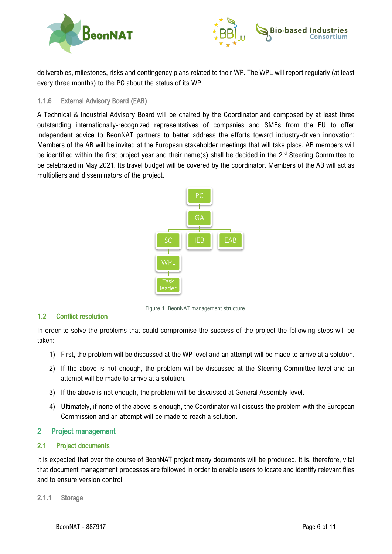



deliverables, milestones, risks and contingency plans related to their WP. The WPL will report regularly (at least every three months) to the PC about the status of its WP.

#### <span id="page-6-0"></span>1.1.6 External Advisory Board (EAB)

A Technical & Industrial Advisory Board will be chaired by the Coordinator and composed by at least three outstanding internationally-recognized representatives of companies and SMEs from the EU to offer independent advice to BeonNAT partners to better address the efforts toward industry-driven innovation; Members of the AB will be invited at the European stakeholder meetings that will take place. AB members will be identified within the first project year and their name(s) shall be decided in the 2<sup>nd</sup> Steering Committee to be celebrated in May 2021. Its travel budget will be covered by the coordinator. Members of the AB will act as multipliers and disseminators of the project.



Figure 1. BeonNAT management structure.

# <span id="page-6-1"></span>1.2 Conflict resolution

In order to solve the problems that could compromise the success of the project the following steps will be taken:

- 1) First, the problem will be discussed at the WP level and an attempt will be made to arrive at a solution.
- 2) If the above is not enough, the problem will be discussed at the Steering Committee level and an attempt will be made to arrive at a solution.
- 3) If the above is not enough, the problem will be discussed at General Assembly level.
- 4) Ultimately, if none of the above is enough, the Coordinator will discuss the problem with the European Commission and an attempt will be made to reach a solution.

# <span id="page-6-2"></span>2 Project management

# <span id="page-6-3"></span>2.1 Project documents

It is expected that over the course of BeonNAT project many documents will be produced. It is, therefore, vital that document management processes are followed in order to enable users to locate and identify relevant files and to ensure version control.

#### <span id="page-6-4"></span>2.1.1 Storage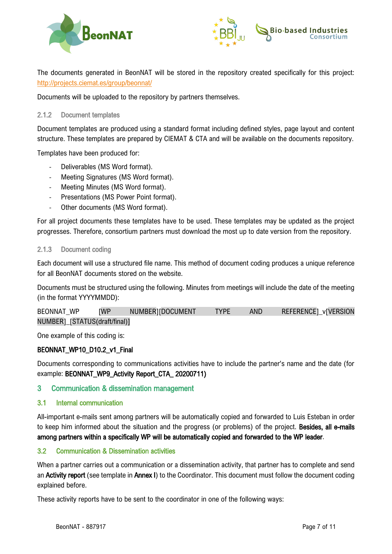



The documents generated in BeonNAT will be stored in the repository created specifically for this project: <http://projects.ciemat.es/group/beonnat/>

Documents will be uploaded to the repository by partners themselves.

#### <span id="page-7-0"></span>2.1.2 Document templates

Document templates are produced using a standard format including defined styles, page layout and content structure. These templates are prepared by CIEMAT & CTA and will be available on the documents repository.

Templates have been produced for:

- Deliverables (MS Word format).
- Meeting Signatures (MS Word format).
- Meeting Minutes (MS Word format).
- Presentations (MS Power Point format).
- Other documents (MS Word format).

For all project documents these templates have to be used. These templates may be updated as the project progresses. Therefore, consortium partners must download the most up to date version from the repository.

#### <span id="page-7-1"></span>2.1.3 Document coding

Each document will use a structured file name. This method of document coding produces a unique reference for all BeonNAT documents stored on the website.

Documents must be structured using the following. Minutes from meetings will include the date of the meeting (in the format YYYYMMDD):

| BEONNAT WP                    | <b>IWP</b> | NUMBER][DOCUMENT | <b>TYPE</b> | AND | REFERENCE]_v[VERSION |
|-------------------------------|------------|------------------|-------------|-----|----------------------|
| NUMBER]_[STATUS(draft/final)] |            |                  |             |     |                      |

One example of this coding is:

# BEONNAT\_WP10\_D10.2\_v1\_Final

Documents corresponding to communications activities have to include the partner's name and the date (for example: BEONNAT\_WP9\_Activity Report\_CTA\_ 20200711)

# <span id="page-7-2"></span>3 Communication & dissemination management

#### <span id="page-7-3"></span>3.1 Internal communication

All-important e-mails sent among partners will be automatically copied and forwarded to Luis Esteban in order to keep him informed about the situation and the progress (or problems) of the project. Besides, all e-mails among partners within a specifically WP will be automatically copied and forwarded to the WP leader.

# <span id="page-7-4"></span>3.2 Communication & Dissemination activities

When a partner carries out a communication or a dissemination activity, that partner has to complete and send an Activity report (see template in Annex I) to the Coordinator. This document must follow the document coding explained before.

These activity reports have to be sent to the coordinator in one of the following ways: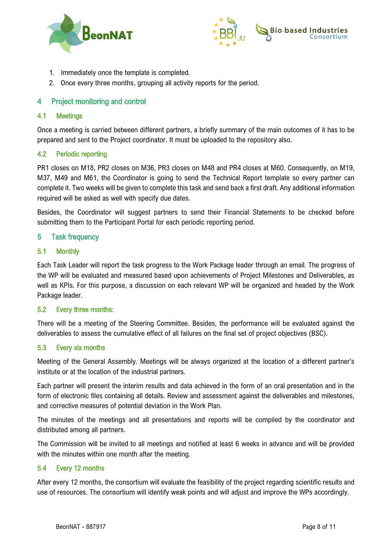



- 1. Immediately once the template is completed.
- 2. Once every three months, grouping all activity reports for the period.

# <span id="page-8-0"></span>4 Project monitoring and control

#### <span id="page-8-1"></span>4.1 Meetings

Once a meeting is carried between different partners, a briefly summary of the main outcomes of it has to be prepared and sent to the Project coordinator. It must be uploaded to the repository also.

#### <span id="page-8-2"></span>4.2 Periodic reporting

PR1 closes on M18, PR2 closes on M36, PR3 closes on M48 and PR4 closes at M60. Consequently, on M19, M37, M49 and M61, the Coordinator is going to send the Technical Report template so every partner can complete it. Two weeks will be given to complete this task and send back a first draft. Any additional information required will be asked as well with specify due dates.

Besides, the Coordinator will suggest partners to send their Financial Statements to be checked before submitting them to the Participant Portal for each periodic reporting period.

# <span id="page-8-3"></span>5 Task frequency

#### <span id="page-8-4"></span>5.1 Monthly

Each Task Leader will report the task progress to the Work Package leader through an email. The progress of the WP will be evaluated and measured based upon achievements of Project Milestones and Deliverables, as well as KPIs. For this purpose, a discussion on each relevant WP will be organized and headed by the Work Package leader.

# <span id="page-8-5"></span>5.2 Every three months:

There will be a meeting of the Steering Committee. Besides, the performance will be evaluated against the deliverables to assess the cumulative effect of all failures on the final set of project objectives (BSC).

#### <span id="page-8-6"></span>5.3 Every six months

Meeting of the General Assembly. Meetings will be always organized at the location of a different partner's institute or at the location of the industrial partners.

Each partner will present the interim results and data achieved in the form of an oral presentation and in the form of electronic files containing all details. Review and assessment against the deliverables and milestones, and corrective measures of potential deviation in the Work Plan.

The minutes of the meetings and all presentations and reports will be compiled by the coordinator and distributed among all partners.

The Commission will be invited to all meetings and notified at least 6 weeks in advance and will be provided with the minutes within one month after the meeting.

#### <span id="page-8-7"></span>5.4 Every 12 months

After every 12 months, the consortium will evaluate the feasibility of the project regarding scientific results and use of resources. The consortium will identify weak points and will adjust and improve the WPs accordingly.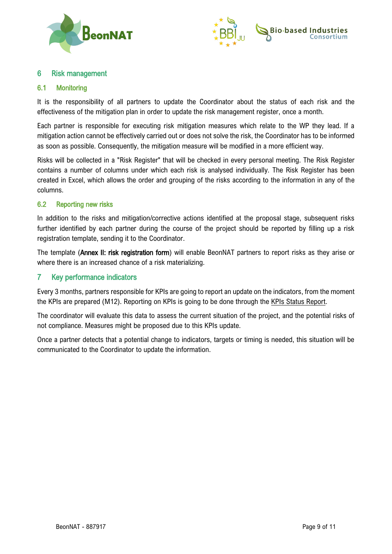



# <span id="page-9-0"></span>6 Risk management

#### <span id="page-9-1"></span>6.1 Monitoring

It is the responsibility of all partners to update the Coordinator about the status of each risk and the effectiveness of the mitigation plan in order to update the risk management register, once a month.

Each partner is responsible for executing risk mitigation measures which relate to the WP they lead. If a mitigation action cannot be effectively carried out or does not solve the risk, the Coordinator has to be informed as soon as possible. Consequently, the mitigation measure will be modified in a more efficient way.

Risks will be collected in a "Risk Register" that will be checked in every personal meeting. The Risk Register contains a number of columns under which each risk is analysed individually. The Risk Register has been created in Excel, which allows the order and grouping of the risks according to the information in any of the columns.

#### <span id="page-9-2"></span>6.2 Reporting new risks

In addition to the risks and mitigation/corrective actions identified at the proposal stage, subsequent risks further identified by each partner during the course of the project should be reported by filling up a risk registration template, sending it to the Coordinator.

The template (Annex II: risk registration form) will enable BeonNAT partners to report risks as they arise or where there is an increased chance of a risk materializing.

# <span id="page-9-3"></span>7 Key performance indicators

Every 3 months, partners responsible for KPIs are going to report an update on the indicators, from the moment the KPIs are prepared (M12). Reporting on KPIs is going to be done through the KPIs Status Report.

The coordinator will evaluate this data to assess the current situation of the project, and the potential risks of not compliance. Measures might be proposed due to this KPIs update.

Once a partner detects that a potential change to indicators, targets or timing is needed, this situation will be communicated to the Coordinator to update the information.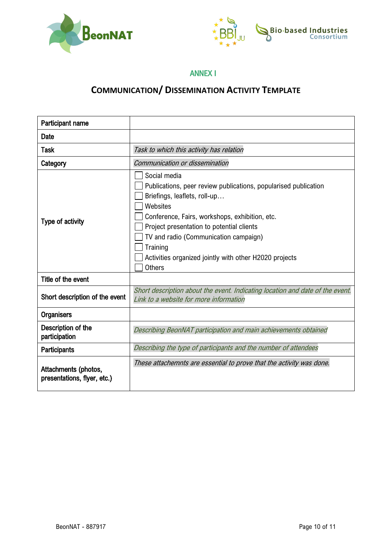



# ANNEX I

# **COMMUNICATION/ DISSEMINATION ACTIVITY TEMPLATE**

<span id="page-10-0"></span>

| Participant name                                    |                                                                                                                                                                                                                                                                                                                                                            |  |  |
|-----------------------------------------------------|------------------------------------------------------------------------------------------------------------------------------------------------------------------------------------------------------------------------------------------------------------------------------------------------------------------------------------------------------------|--|--|
| <b>Date</b>                                         |                                                                                                                                                                                                                                                                                                                                                            |  |  |
| <b>Task</b>                                         | Task to which this activity has relation                                                                                                                                                                                                                                                                                                                   |  |  |
| Category                                            | Communication or dissemination                                                                                                                                                                                                                                                                                                                             |  |  |
| Type of activity                                    | Social media<br>Publications, peer review publications, popularised publication<br>Briefings, leaflets, roll-up<br>Websites<br>Conference, Fairs, workshops, exhibition, etc.<br>Project presentation to potential clients<br>TV and radio (Communication campaign)<br>Training<br>Activities organized jointly with other H2020 projects<br><b>Others</b> |  |  |
| Title of the event                                  |                                                                                                                                                                                                                                                                                                                                                            |  |  |
| Short description of the event                      | Short description about the event. Indicating location and date of the event.<br>Link to a website for more information                                                                                                                                                                                                                                    |  |  |
| <b>Organisers</b>                                   |                                                                                                                                                                                                                                                                                                                                                            |  |  |
| Description of the<br>participation                 | Describing BeonNAT participation and main achievements obtained                                                                                                                                                                                                                                                                                            |  |  |
| <b>Participants</b>                                 | Describing the type of participants and the number of attendees                                                                                                                                                                                                                                                                                            |  |  |
| Attachments (photos,<br>presentations, flyer, etc.) | These attachemnts are essential to prove that the activity was done.                                                                                                                                                                                                                                                                                       |  |  |